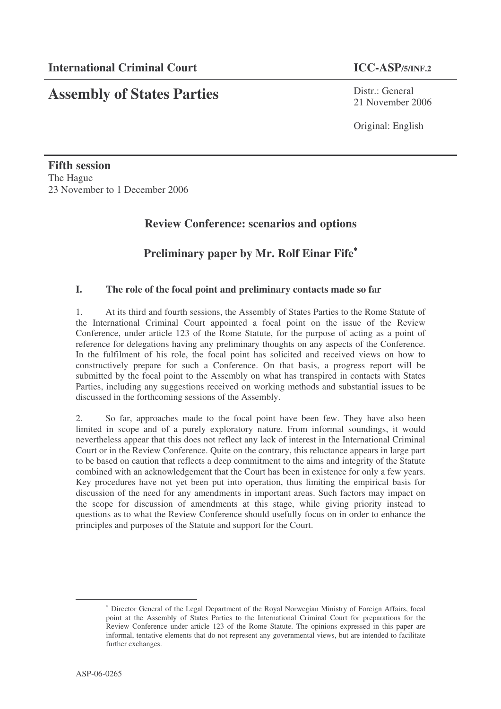# **Assembly of States Parties**

Distr.: General 21 November 2006

Original: English

**Fifth session** The Hague 23 November to 1 December 2006

# **Review Conference: scenarios and options**

# **Preliminary paper by Mr. Rolf Einar Fife** ∗

## **I. The role of the focal point and preliminary contacts made so far**

1. At its third and fourth sessions, the Assembly of States Parties to the Rome Statute of the International Criminal Court appointed a focal point on the issue of the Review Conference, under article 123 of the Rome Statute, for the purpose of acting as a point of reference for delegations having any preliminary thoughts on any aspects of the Conference. In the fulfilment of his role, the focal point has solicited and received views on how to constructively prepare for such a Conference. On that basis, a progress report will be submitted by the focal point to the Assembly on what has transpired in contacts with States Parties, including any suggestions received on working methods and substantial issues to be discussed in the forthcoming sessions of the Assembly.

2. So far, approaches made to the focal point have been few. They have also been limited in scope and of a purely exploratory nature. From informal soundings, it would nevertheless appear that this does not reflect any lack of interest in the International Criminal Court or in the Review Conference. Quite on the contrary, this reluctance appears in large part to be based on caution that reflects a deep commitment to the aims and integrity of the Statute combined with an acknowledgement that the Court has been in existence for only a few years. Key procedures have not yet been put into operation, thus limiting the empirical basis for discussion of the need for any amendments in important areas. Such factors may impact on the scope for discussion of amendments at this stage, while giving priority instead to questions as to what the Review Conference should usefully focus on in order to enhance the principles and purposes of the Statute and support for the Court.

<sup>∗</sup> Director General of the Legal Department of the Royal Norwegian Ministry of Foreign Affairs, focal point at the Assembly of States Parties to the International Criminal Court for preparations for the Review Conference under article 123 of the Rome Statute. The opinions expressed in this paper are informal, tentative elements that do not represent any governmental views, but are intended to facilitate further exchanges.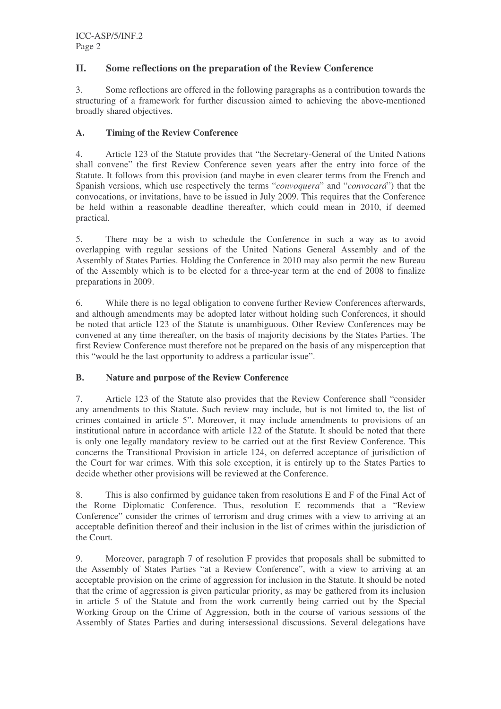# **II. Some reflections on the preparation of the Review Conference**

3. Some reflections are offered in the following paragraphs as a contribution towards the structuring of a framework for further discussion aimed to achieving the above-mentioned broadly shared objectives.

### **A. Timing of the Review Conference**

4. Article 123 of the Statute provides that "the Secretary-General of the United Nations shall convene" the first Review Conference seven years after the entry into force of the Statute. It follows from this provision (and maybe in even clearer terms from the French and Spanish versions, which use respectively the terms "*convoquera*" and "*convocará*") that the convocations, or invitations, have to be issued in July 2009. This requires that the Conference be held within a reasonable deadline thereafter, which could mean in 2010, if deemed practical.

5. There may be a wish to schedule the Conference in such a way as to avoid overlapping with regular sessions of the United Nations General Assembly and of the Assembly of States Parties. Holding the Conference in 2010 may also permit the new Bureau of the Assembly which is to be elected for a three-year term at the end of 2008 to finalize preparations in 2009.

6. While there is no legal obligation to convene further Review Conferences afterwards, and although amendments may be adopted later without holding such Conferences, it should be noted that article 123 of the Statute is unambiguous. Other Review Conferences may be convened at any time thereafter, on the basis of majority decisions by the States Parties. The first Review Conference must therefore not be prepared on the basis of any misperception that this "would be the last opportunity to address a particular issue".

### **B. Nature and purpose of the Review Conference**

7. Article 123 of the Statute also provides that the Review Conference shall "consider any amendments to this Statute. Such review may include, but is not limited to, the list of crimes contained in article 5". Moreover, it may include amendments to provisions of an institutional nature in accordance with article 122 of the Statute. It should be noted that there is only one legally mandatory review to be carried out at the first Review Conference. This concerns the Transitional Provision in article 124, on deferred acceptance of jurisdiction of the Court for war crimes. With this sole exception, it is entirely up to the States Parties to decide whether other provisions will be reviewed at the Conference.

8. This is also confirmed by guidance taken from resolutions E and F of the Final Act of the Rome Diplomatic Conference. Thus, resolution E recommends that a "Review Conference" consider the crimes of terrorism and drug crimes with a view to arriving at an acceptable definition thereof and their inclusion in the list of crimes within the jurisdiction of the Court.

9. Moreover, paragraph 7 of resolution F provides that proposals shall be submitted to the Assembly of States Parties "at a Review Conference", with a view to arriving at an acceptable provision on the crime of aggression for inclusion in the Statute. It should be noted that the crime of aggression is given particular priority, as may be gathered from its inclusion in article 5 of the Statute and from the work currently being carried out by the Special Working Group on the Crime of Aggression, both in the course of various sessions of the Assembly of States Parties and during intersessional discussions. Several delegations have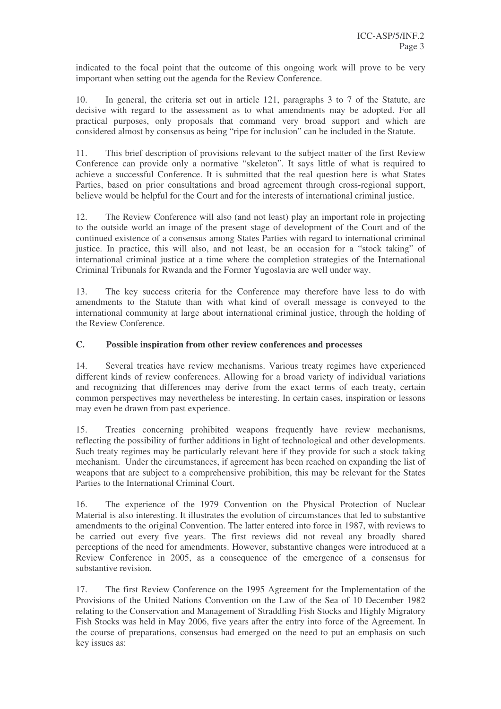indicated to the focal point that the outcome of this ongoing work will prove to be very important when setting out the agenda for the Review Conference.

10. In general, the criteria set out in article 121, paragraphs 3 to 7 of the Statute, are decisive with regard to the assessment as to what amendments may be adopted. For all practical purposes, only proposals that command very broad support and which are considered almost by consensus as being "ripe for inclusion" can be included in the Statute.

11. This brief description of provisions relevant to the subject matter of the first Review Conference can provide only a normative "skeleton". It says little of what is required to achieve a successful Conference. It is submitted that the real question here is what States Parties, based on prior consultations and broad agreement through cross-regional support, believe would be helpful for the Court and for the interests of international criminal justice.

12. The Review Conference will also (and not least) play an important role in projecting to the outside world an image of the present stage of development of the Court and of the continued existence of a consensus among States Parties with regard to international criminal justice. In practice, this will also, and not least, be an occasion for a "stock taking" of international criminal justice at a time where the completion strategies of the International Criminal Tribunals for Rwanda and the Former Yugoslavia are well under way.

13. The key success criteria for the Conference may therefore have less to do with amendments to the Statute than with what kind of overall message is conveyed to the international community at large about international criminal justice, through the holding of the Review Conference.

### **C. Possible inspiration from other review conferences and processes**

14. Several treaties have review mechanisms. Various treaty regimes have experienced different kinds of review conferences. Allowing for a broad variety of individual variations and recognizing that differences may derive from the exact terms of each treaty, certain common perspectives may nevertheless be interesting. In certain cases, inspiration or lessons may even be drawn from past experience.

15. Treaties concerning prohibited weapons frequently have review mechanisms, reflecting the possibility of further additions in light of technological and other developments. Such treaty regimes may be particularly relevant here if they provide for such a stock taking mechanism. Under the circumstances, if agreement has been reached on expanding the list of weapons that are subject to a comprehensive prohibition, this may be relevant for the States Parties to the International Criminal Court.

16. The experience of the 1979 Convention on the Physical Protection of Nuclear Material is also interesting. It illustrates the evolution of circumstances that led to substantive amendments to the original Convention. The latter entered into force in 1987, with reviews to be carried out every five years. The first reviews did not reveal any broadly shared perceptions of the need for amendments. However, substantive changes were introduced at a Review Conference in 2005, as a consequence of the emergence of a consensus for substantive revision.

17. The first Review Conference on the 1995 Agreement for the Implementation of the Provisions of the United Nations Convention on the Law of the Sea of 10 December 1982 relating to the Conservation and Management of Straddling Fish Stocks and Highly Migratory Fish Stocks was held in May 2006, five years after the entry into force of the Agreement. In the course of preparations, consensus had emerged on the need to put an emphasis on such key issues as: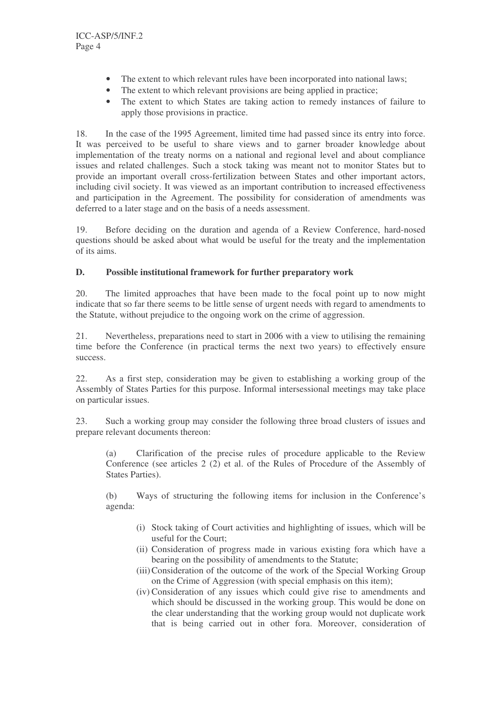- The extent to which relevant rules have been incorporated into national laws;
- The extent to which relevant provisions are being applied in practice;
- The extent to which States are taking action to remedy instances of failure to apply those provisions in practice.

18. In the case of the 1995 Agreement, limited time had passed since its entry into force. It was perceived to be useful to share views and to garner broader knowledge about implementation of the treaty norms on a national and regional level and about compliance issues and related challenges. Such a stock taking was meant not to monitor States but to provide an important overall cross-fertilization between States and other important actors, including civil society. It was viewed as an important contribution to increased effectiveness and participation in the Agreement. The possibility for consideration of amendments was deferred to a later stage and on the basis of a needs assessment.

19. Before deciding on the duration and agenda of a Review Conference, hard-nosed questions should be asked about what would be useful for the treaty and the implementation of its aims.

#### **D. Possible institutional framework for further preparatory work**

20. The limited approaches that have been made to the focal point up to now might indicate that so far there seems to be little sense of urgent needs with regard to amendments to the Statute, without prejudice to the ongoing work on the crime of aggression.

21. Nevertheless, preparations need to start in 2006 with a view to utilising the remaining time before the Conference (in practical terms the next two years) to effectively ensure success.

22. As a first step, consideration may be given to establishing a working group of the Assembly of States Parties for this purpose. Informal intersessional meetings may take place on particular issues.

23. Such a working group may consider the following three broad clusters of issues and prepare relevant documents thereon:

(a) Clarification of the precise rules of procedure applicable to the Review Conference (see articles 2 (2) et al. of the Rules of Procedure of the Assembly of States Parties).

(b) Ways of structuring the following items for inclusion in the Conference's agenda:

- (i) Stock taking of Court activities and highlighting of issues, which will be useful for the Court;
- (ii) Consideration of progress made in various existing fora which have a bearing on the possibility of amendments to the Statute;
- (iii)Consideration of the outcome of the work of the Special Working Group on the Crime of Aggression (with special emphasis on this item);
- (iv) Consideration of any issues which could give rise to amendments and which should be discussed in the working group. This would be done on the clear understanding that the working group would not duplicate work that is being carried out in other fora. Moreover, consideration of